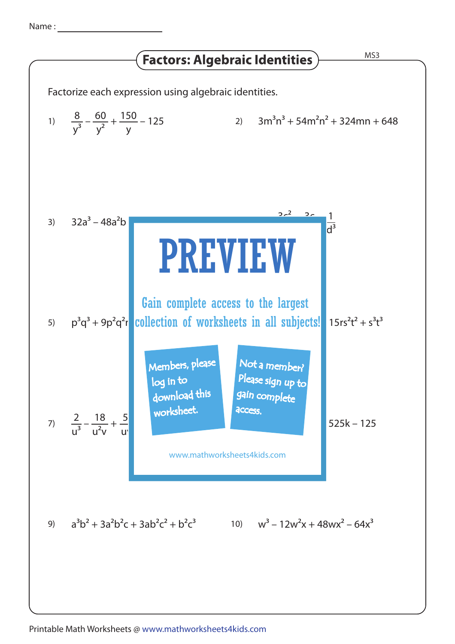